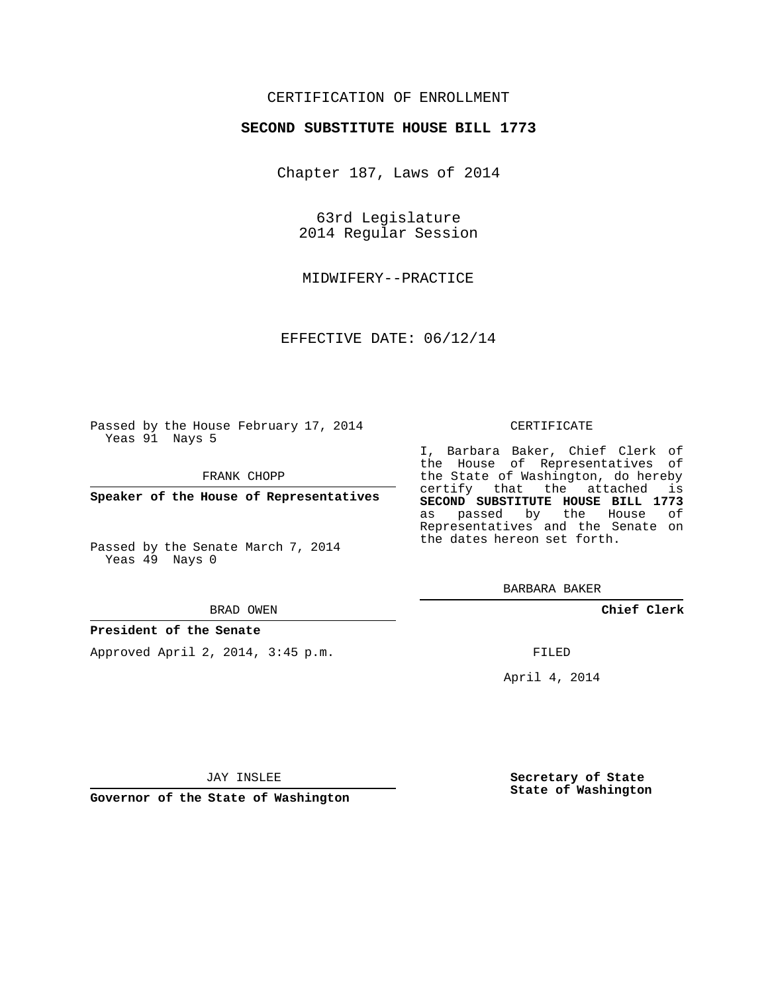## CERTIFICATION OF ENROLLMENT

## **SECOND SUBSTITUTE HOUSE BILL 1773**

Chapter 187, Laws of 2014

63rd Legislature 2014 Regular Session

MIDWIFERY--PRACTICE

EFFECTIVE DATE: 06/12/14

Passed by the House February 17, 2014 Yeas 91 Nays 5

FRANK CHOPP

**Speaker of the House of Representatives**

Passed by the Senate March 7, 2014 Yeas 49 Nays 0

#### BRAD OWEN

### **President of the Senate**

Approved April 2, 2014, 3:45 p.m.

#### CERTIFICATE

I, Barbara Baker, Chief Clerk of the House of Representatives of the State of Washington, do hereby certify that the attached is **SECOND SUBSTITUTE HOUSE BILL 1773** as passed by the House of Representatives and the Senate on the dates hereon set forth.

BARBARA BAKER

**Chief Clerk**

FILED

April 4, 2014

**Secretary of State State of Washington**

JAY INSLEE

**Governor of the State of Washington**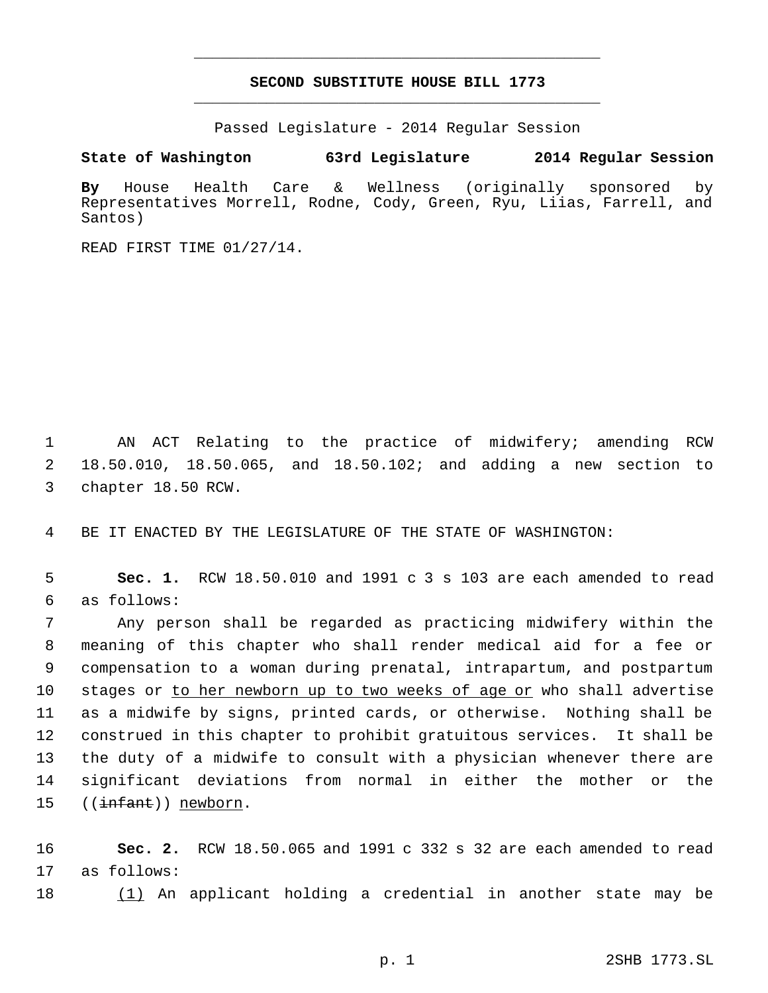# **SECOND SUBSTITUTE HOUSE BILL 1773** \_\_\_\_\_\_\_\_\_\_\_\_\_\_\_\_\_\_\_\_\_\_\_\_\_\_\_\_\_\_\_\_\_\_\_\_\_\_\_\_\_\_\_\_\_

\_\_\_\_\_\_\_\_\_\_\_\_\_\_\_\_\_\_\_\_\_\_\_\_\_\_\_\_\_\_\_\_\_\_\_\_\_\_\_\_\_\_\_\_\_

Passed Legislature - 2014 Regular Session

**State of Washington 63rd Legislature 2014 Regular Session**

**By** House Health Care & Wellness (originally sponsored by Representatives Morrell, Rodne, Cody, Green, Ryu, Liias, Farrell, and Santos)

READ FIRST TIME 01/27/14.

 AN ACT Relating to the practice of midwifery; amending RCW 18.50.010, 18.50.065, and 18.50.102; and adding a new section to chapter 18.50 RCW.

BE IT ENACTED BY THE LEGISLATURE OF THE STATE OF WASHINGTON:

 **Sec. 1.** RCW 18.50.010 and 1991 c 3 s 103 are each amended to read as follows:

 Any person shall be regarded as practicing midwifery within the meaning of this chapter who shall render medical aid for a fee or compensation to a woman during prenatal, intrapartum, and postpartum stages or to her newborn up to two weeks of age or who shall advertise as a midwife by signs, printed cards, or otherwise. Nothing shall be construed in this chapter to prohibit gratuitous services. It shall be the duty of a midwife to consult with a physician whenever there are significant deviations from normal in either the mother or the 15 ((<del>infant</del>)) newborn.

 **Sec. 2.** RCW 18.50.065 and 1991 c 332 s 32 are each amended to read as follows:

(1) An applicant holding a credential in another state may be